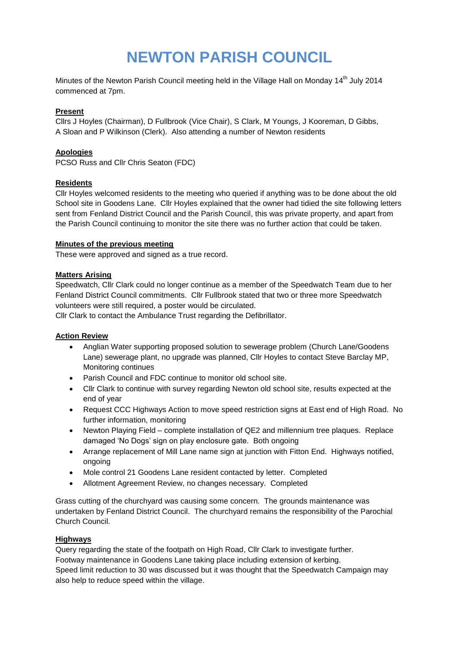# **NEWTON PARISH COUNCIL**

Minutes of the Newton Parish Council meeting held in the Village Hall on Monday 14<sup>th</sup> July 2014 commenced at 7pm.

#### **Present**

Cllrs J Hoyles (Chairman), D Fullbrook (Vice Chair), S Clark, M Youngs, J Kooreman, D Gibbs, A Sloan and P Wilkinson (Clerk). Also attending a number of Newton residents

#### **Apologies**

PCSO Russ and Cllr Chris Seaton (FDC)

#### **Residents**

Cllr Hoyles welcomed residents to the meeting who queried if anything was to be done about the old School site in Goodens Lane. Cllr Hoyles explained that the owner had tidied the site following letters sent from Fenland District Council and the Parish Council, this was private property, and apart from the Parish Council continuing to monitor the site there was no further action that could be taken.

#### **Minutes of the previous meeting**

These were approved and signed as a true record.

#### **Matters Arising**

Speedwatch, Cllr Clark could no longer continue as a member of the Speedwatch Team due to her Fenland District Council commitments. Cllr Fullbrook stated that two or three more Speedwatch volunteers were still required, a poster would be circulated.

Cllr Clark to contact the Ambulance Trust regarding the Defibrillator.

#### **Action Review**

- Anglian Water supporting proposed solution to sewerage problem (Church Lane/Goodens Lane) sewerage plant, no upgrade was planned, Cllr Hoyles to contact Steve Barclay MP, Monitoring continues
- Parish Council and FDC continue to monitor old school site.
- Cllr Clark to continue with survey regarding Newton old school site, results expected at the end of year
- Request CCC Highways Action to move speed restriction signs at East end of High Road. No further information, monitoring
- Newton Playing Field complete installation of QE2 and millennium tree plaques. Replace damaged 'No Dogs' sign on play enclosure gate. Both ongoing
- Arrange replacement of Mill Lane name sign at junction with Fitton End. Highways notified, ongoing
- Mole control 21 Goodens Lane resident contacted by letter. Completed
- Allotment Agreement Review, no changes necessary. Completed

Grass cutting of the churchyard was causing some concern. The grounds maintenance was undertaken by Fenland District Council. The churchyard remains the responsibility of the Parochial Church Council.

#### **Highways**

Query regarding the state of the footpath on High Road, Cllr Clark to investigate further. Footway maintenance in Goodens Lane taking place including extension of kerbing. Speed limit reduction to 30 was discussed but it was thought that the Speedwatch Campaign may also help to reduce speed within the village.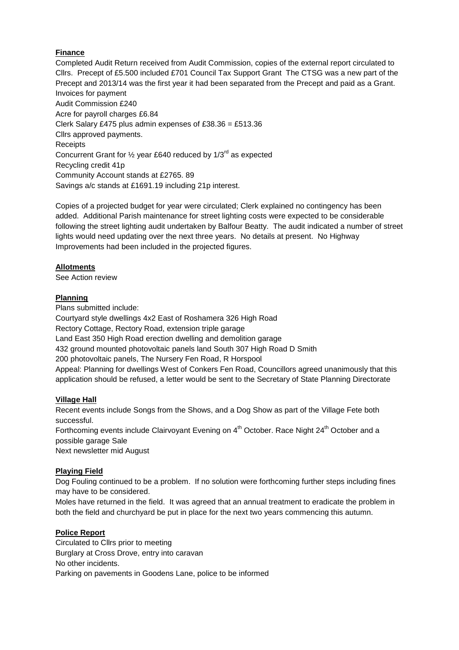## **Finance**

Completed Audit Return received from Audit Commission, copies of the external report circulated to Cllrs. Precept of £5.500 included £701 Council Tax Support Grant The CTSG was a new part of the Precept and 2013/14 was the first year it had been separated from the Precept and paid as a Grant. Invoices for payment Audit Commission £240 Acre for payroll charges £6.84 Clerk Salary £475 plus admin expenses of £38.36 = £513.36 Cllrs approved payments. **Receipts** Concurrent Grant for  $\frac{1}{2}$  year £640 reduced by 1/3<sup>rd</sup> as expected Recycling credit 41p Community Account stands at £2765. 89 Savings a/c stands at £1691.19 including 21p interest.

Copies of a projected budget for year were circulated; Clerk explained no contingency has been added. Additional Parish maintenance for street lighting costs were expected to be considerable following the street lighting audit undertaken by Balfour Beatty. The audit indicated a number of street lights would need updating over the next three years. No details at present. No Highway Improvements had been included in the projected figures.

## **Allotments**

See Action review

## **Planning**

Plans submitted include: Courtyard style dwellings 4x2 East of Roshamera 326 High Road Rectory Cottage, Rectory Road, extension triple garage Land East 350 High Road erection dwelling and demolition garage 432 ground mounted photovoltaic panels land South 307 High Road D Smith 200 photovoltaic panels, The Nursery Fen Road, R Horspool Appeal: Planning for dwellings West of Conkers Fen Road, Councillors agreed unanimously that this application should be refused, a letter would be sent to the Secretary of State Planning Directorate

## **Village Hall**

Recent events include Songs from the Shows, and a Dog Show as part of the Village Fete both successful.

Forthcoming events include Clairvovant Evening on 4<sup>th</sup> October. Race Night 24<sup>th</sup> October and a possible garage Sale

Next newsletter mid August

## **Playing Field**

Dog Fouling continued to be a problem. If no solution were forthcoming further steps including fines may have to be considered.

Moles have returned in the field. It was agreed that an annual treatment to eradicate the problem in both the field and churchyard be put in place for the next two years commencing this autumn.

## **Police Report**

Circulated to Cllrs prior to meeting Burglary at Cross Drove, entry into caravan No other incidents. Parking on pavements in Goodens Lane, police to be informed